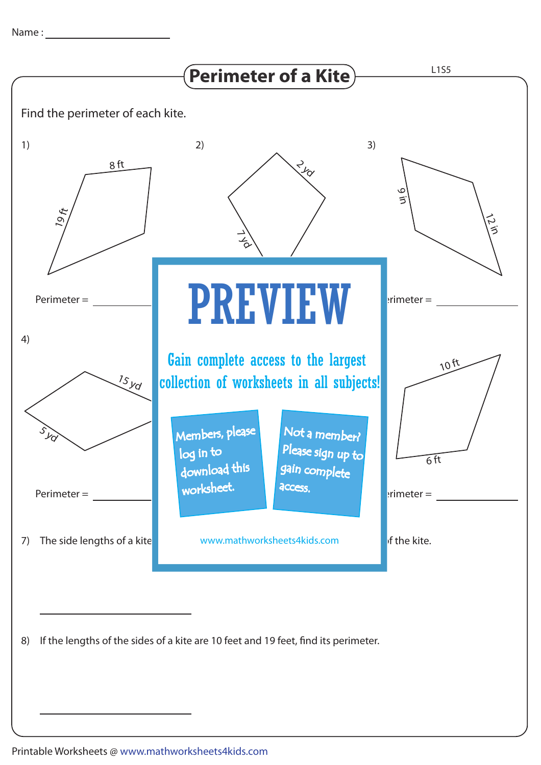